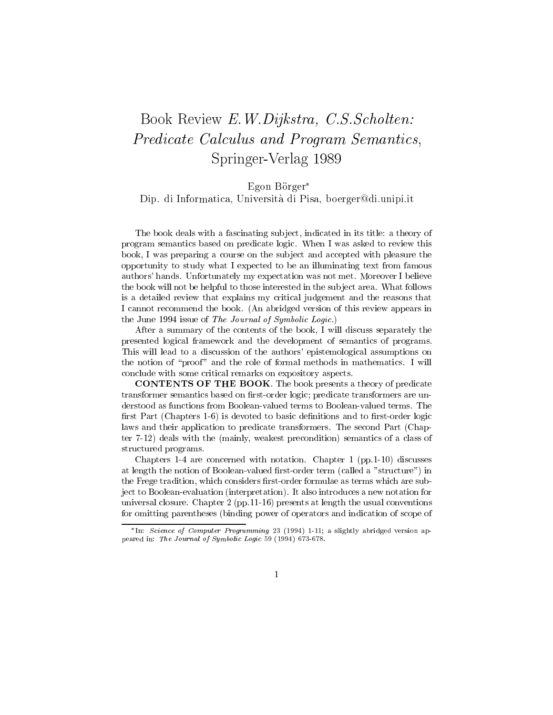## Book Review E.W.Dijkstra, C.S.Scholten: Predicate Calculus and Program Semantics, Springer-Verlag <sup>1989</sup>

Egon Borger

Dip. di Informatica, Universita di Pisa, boerger@di.unipi.it

The book deals with a fascinating sub ject, indicated in its title: a theory of program semantics based on predicate logic. When I was asked to review this book, I was preparing a course on the sub ject and accepted with pleasure the opportunity to study what I expected to be an illuminating text from famous authors' hands. Unfortunately my expectation was not met. Moreover I believe the book will not be helpful to those interested in the sub ject area. What follows is a detailed review that explains my critical judgement and the reasons that I cannot recommend the book. (An abridged version of this review appears in the June 1994 issue of The Journal of Symbolic Logic.)

After a summary of the contents of the book, I will discuss separately the presented logical framework and the development of semantics of programs. This will lead to a discussion of the authors' epistemological assumptions on the notion of "proof" and the role of formal methods in mathematics. I will conclude with some critical remarks on expository aspects.

CONTENTS OF THE BOOK. The book presents a theory of predicate transformer semantics based on first-order logic; predicate transformers are understood as functions from Boolean-valued terms to Boolean-valued terms. The first Part (Chapters  $1-6$ ) is devoted to basic definitions and to first-order logic laws and their application to predicate transformers. The second Part (Chapter 7-12) deals with the (mainly, weakest precondition) semantics of a class of structured programs.

Chapters 1-4 are concerned with notation. Chapter 1 (pp.1-10) discusses at length the notion of Boolean-valued first-order term (called a "structure") in the Frege tradition, which considers first-order formulae as terms which are subject to Boolean-evaluation (interpretation). It also introduces a new notation for universal closure. Chapter 2 (pp.11-16) presents at length the usual conventions for omitting parentheses (binding power of operators and indication of scope of

1

In: Science of Computer Programming <sup>23</sup> (1994) 1-11; <sup>a</sup> slightly abridged version appeared in: The Journal of Symbolic Logic <sup>59</sup> (1994) 673-678.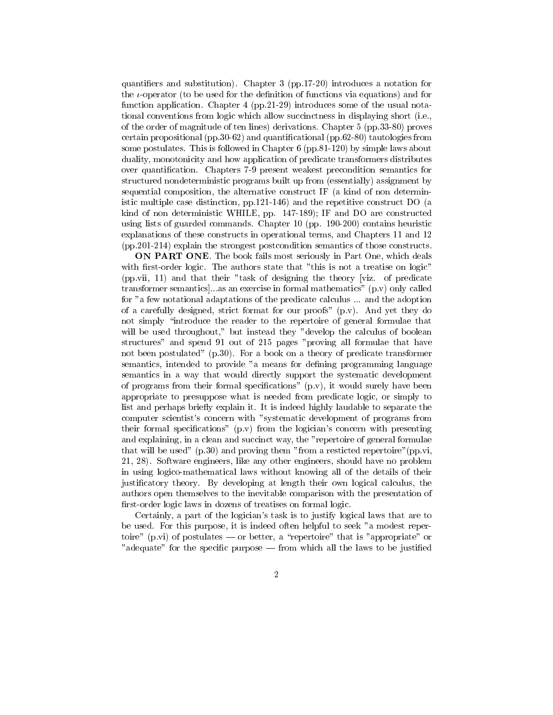quantiers and substitution). Chapter 3 (pp.17-20) introduces a notation for the  $i$ -operator (to be used for the definition of functions via equations) and for function application. Chapter 4 (pp.21-29) introduces some of the usual notational conventions from logic which allow succinctness in displaying short (i.e., of the order of magnitude of ten lines) derivations. Chapter 5 (pp.33-80) proves certain propositional (pp.30-62) and quanticational (pp.62-80) tautologies from some postulates. This is followed in Chapter 6 (pp.81-120) by simple laws about duality, monotonicity and how application of predicate transformers distributes over quantication. Chapters 7-9 present weakest precondition semantics for structured nondeterministic programs built up from (essentially) assignment by sequential composition, the alternative construct IF (a kind of non deterministic multiple case distinction, pp.121-146) and the repetitive construct DO (a kind of non deterministic WHILE, pp. 147-189); IF and DO are constructed using lists of guarded commands. Chapter 10 (pp. 190-200) contains heuristic explanations of these constructs in operational terms, and Chapters 11 and 12 (pp.201-214) explain the strongest postcondition semantics of those constructs.

ON PART ONE. The book fails most seriously in Part One, which deals with first-order logic. The authors state that "this is not a treatise on logic" (pp.vii, 11) and that their "task of designing the theory [viz. of predicate transformer semantics]...as an exercise in formal mathematics" (p.v) only called for "a few notational adaptations of the predicate calculus ... and the adoption of a carefully designed, strict format for our proofs" (p.v). And yet they do not simply "introduce the reader to the repertoire of general formulae that will be used throughout," but instead they "develop the calculus of boolean structures" and spend 91 out of 215 pages "proving all formulae that have not been postulated" (p.30). For a book on a theory of predicate transformer semantics, intended to provide "a means for defining programming language semantics in a way that would directly support the systematic development of programs from their formal specifications"  $(p.v)$ , it would surely have been appropriate to presuppose what is needed from predicate logic, or simply to list and perhaps briefly explain it. It is indeed highly laudable to separate the computer scientist's concern with "systematic development of programs from their formal specifications" (p.v) from the logician's concern with presenting and explaining, in a clean and succinct way, the "repertoire of general formulae that will be used" (p.30) and proving them "from a resticted repertoire"(pp.vi, 21, 28). Software engineers, like any other engineers, should have no problem in using logico-mathematical laws without knowing all of the details of their justicatory theory. By developing at length their own logical calculus, the authors open themselves to the inevitable comparison with the presentation of first-order logic laws in dozens of treatises on formal logic.

Certainly, a part of the logician's task is to justify logical laws that are to be used. For this purpose, it is indeed often helpful to seek "a modest repertoire" (p.vi) of postulates — or better, a "repertoire" that is "appropriate" or "adequate" for the specific purpose — from which all the laws to be justified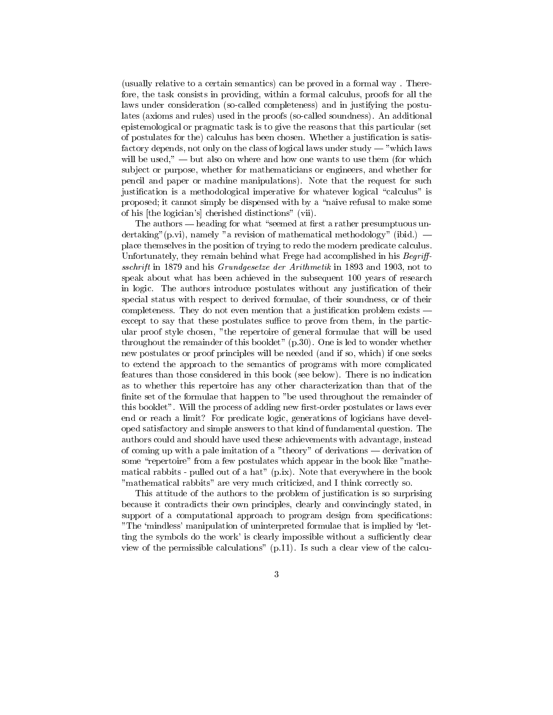(usually relative to a certain semantics) can be proved in a formal way . Therefore, the task consists in providing, within a formal calculus, proofs for all the laws under consideration (so-called completeness) and in justifying the postulates (axioms and rules) used in the proofs (so-called soundness). An additional epistemological or pragmatic task is to give the reasons that this particular (set of postulates for the) calculus has been chosen. Whether a justication is satisfactory depends, not only on the class of logical laws under study  $-$  "which laws will be used,"  $\rightarrow$  but also on where and how one wants to use them (for which sub ject or purpose, whether for mathematicians or engineers, and whether for pencil and paper or machine manipulations). Note that the request for such justification is a methodological imperative for whatever logical "calculus" is proposed; it cannot simply be dispensed with by a \naive refusal to make some of his [the logician's] cherished distinctions" (vii).

The authors  $-$  heading for what "seemed at first a rather presumptuous undertaking"(p.vi), namely "a revision of mathematical methodology" (ibid.) place themselves in the position of trying to redo the modern predicate calculus. Unfortunately, they remain behind what Frege had accomplished in his  $\text{B} \text{eq}$ sschrift in 1879 and his Grundgesetze der Arithmetik in 1893 and 1903, not to speak about what has been achieved in the subsequent 100 years of research in logic. The authors introduce postulates without any justification of their special status with respect to derived formulae, of their soundness, or of their  $completeness.$  They do not even mention that a justification problem exists  $$ except to say that these postulates suffice to prove from them, in the particular proof style chosen, "the repertoire of general formulae that will be used throughout the remainder of this booklet" (p.30). One is led to wonder whether new postulates or proof principles will be needed (and if so, which) if one seeks to extend the approach to the semantics of programs with more complicated features than those considered in this book (see below). There is no indication as to whether this repertoire has any other characterization than that of the finite set of the formulae that happen to "be used throughout the remainder of this booklet". Will the process of adding new first-order postulates or laws ever end or reach a limit? For predicate logic, generations of logicians have developed satisfactory and simple answers to that kind of fundamental question. The authors could and should have used these achievements with advantage, instead of coming up with a pale imitation of a "theory" of derivations — derivation of some "repertoire" from a few postulates which appear in the book like "mathematical rabbits - pulled out of a hat" (p.ix). Note that everywhere in the book "mathematical rabbits" are very much criticized, and I think correctly so.

This attitude of the authors to the problem of justification is so surprising because it contradicts their own principles, clearly and convincingly stated, in support of a computational approach to program design from specifications: "The 'mindless' manipulation of uninterpreted formulae that is implied by 'letting the symbols do the work' is clearly impossible without a sufficiently clear view of the permissible calculations" (p.11). Is such a clear view of the calcu-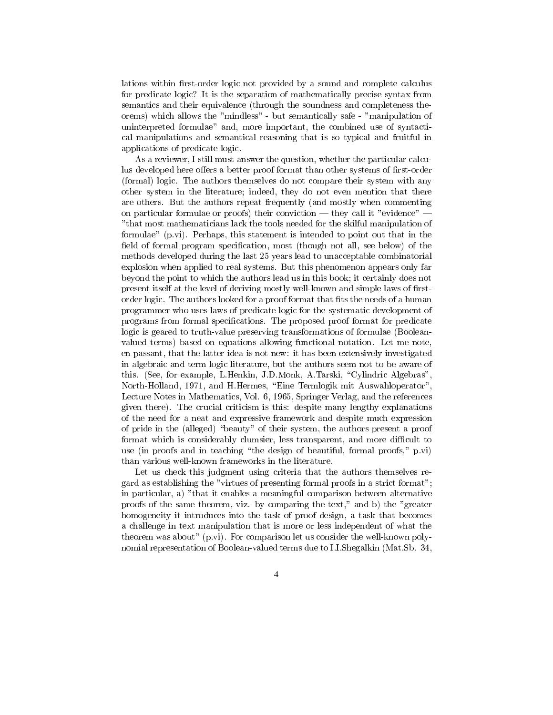lations within first-order logic not provided by a sound and complete calculus for predicate logic? It is the separation of mathematically precise syntax from semantics and their equivalence (through the soundness and completeness theorems) which allows the "mindless" - but semantically safe - "manipulation of uninterpreted formulae" and, more important, the combined use of syntactical manipulations and semantical reasoning that is so typical and fruitful in applications of predicate logic.

As a reviewer, I still must answer the question, whether the particular calculus developed here offers a better proof format than other systems of first-order (formal) logic. The authors themselves do not compare their system with any other system in the literature; indeed, they do not even mention that there are others. But the authors repeat frequently (and mostly when commenting on particular formulae or proofs) their conviction  $-$  they call it "evidence"  $-$ "that most mathematicians lack the tools needed for the skilful manipulation of formulae" (p.vi). Perhaps, this statement is intended to point out that in the field of formal program specification, most (though not all, see below) of the methods developed during the last 25 years lead to unacceptable combinatorial explosion when applied to real systems. But this phenomenon appears only far beyond the point to which the authors lead us in this book; it certainly does not present itself at the level of deriving mostly well-known and simple laws of firstorder logic. The authors looked for a proof format that fits the needs of a human programmer who uses laws of predicate logic for the systematic development of programs from formal specications. The proposed proof format for predicate logic is geared to truth-value preserving transformations of formulae (Boolean valued terms) based on equations allowing functional notation. Let me note, en passant, that the latter idea is not new: it has been extensively investigated in algebraic and term logic literature, but the authors seem not to be aware of this. (See, for example, L.Henkin, J.D.Monk, A.Tarski, "Cylindric Algebras", North-Holland, 1971, and H.Hermes, "Eine Termlogik mit Auswahloperator" Lecture Notes in Mathematics, Vol. 6, 1965, Springer Verlag, and the references given there). The crucial criticism is this: despite many lengthy explanations of the need for a neat and expressive framework and despite much expression of pride in the (alleged) \beauty" of their system, the authors present a proof format which is considerably clumsier, less transparent, and more difficult to use (in proofs and in teaching "the design of beautiful, formal proofs,"  $p.vi$ ) than various well-known frameworks in the literature.

Let us check this judgment using criteria that the authors themselves regard as establishing the "virtues of presenting formal proofs in a strict format"; in particular, a) "that it enables a meaningful comparison between alternative proofs of the same theorem, viz. by comparing the text," and b) the "greater homogeneity it introduces into the task of proof design, a task that becomes a challenge in text manipulation that is more or less independent of what the theorem was about" (p.vi). For comparison let us consider the well-known polynomial representation of Boolean-valued terms due to I.I.Shegalkin (Mat.Sb. 34,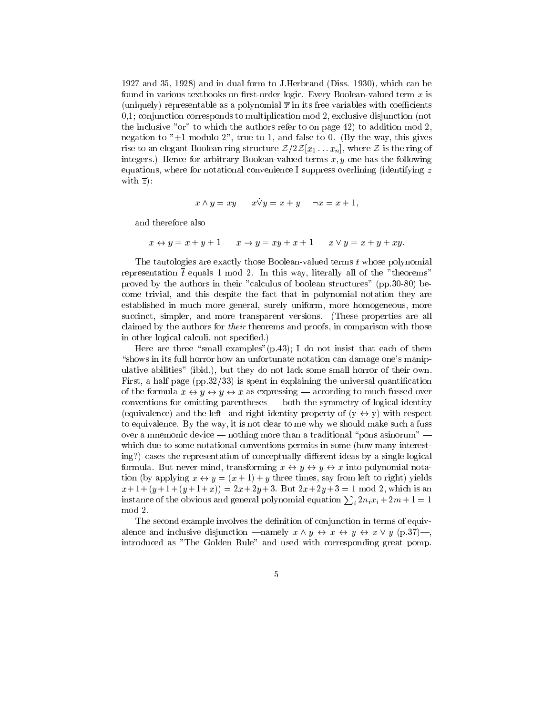1927 and 35, 1928) and in dual form to J.Herbrand (Diss. 1930), which can be found in various textbooks on first-order logic. Every Boolean-valued term  $x$  is (uniquely) representable as a polynomial  $\bar{x}$  in its free variables with coefficients 0,1; conjunction corresponds to multiplication mod 2, exclusive disjunction (not the inclusive "or" to which the authors refer to on page 42) to addition mod 2, negation to  $"+1$  modulo  $2"$ , true to 1, and false to 0. (By the way, this gives rise to an elegant Boolean ring structure  $\mathcal{Z}/2\mathcal{Z}[x_1 \dots x_n]$ , where  $\mathcal Z$  is the ring of integers.) Hence for arbitrary Boolean-valued terms  $x, y$  one has the following equations, where for notational convenience I suppress overlining (identifying <sup>z</sup> with  $\overline{z}$ :

$$
x \wedge y = xy \qquad x \dot{\vee} y = x + y \qquad \neg x = x + 1,
$$

and therefore also

$$
x \leftrightarrow y = x + y + 1 \qquad x \to y = xy + x + 1 \qquad x \lor y = x + y + xy.
$$

The tautologies are exactly those Boolean-valued terms <sup>t</sup> whose polynomial representation  $\bar{t}$  equals 1 mod 2. In this way, literally all of the "theorems" proved by the authors in their "calculus of boolean structures" (pp.30-80) become trivial, and this despite the fact that in polynomial notation they are established in much more general, surely uniform, more homogeneous, more succinct, simpler, and more transparent versions. (These properties are all claimed by the authors for their theorems and proofs, in comparison with those in other logical calculi, not specified.)

Here are three "small examples"  $(p.43)$ ; I do not insist that each of them "shows in its full horror how an unfortunate notation can damage one's manipulative abilities" (ibid.), but they do not lack some small horror of their own. First, a half page  $(pp.32/33)$  is spent in explaining the universal quantification of the formula  $x \leftrightarrow y \leftrightarrow y \leftrightarrow x$  as expressing — according to much fussed over  $conventions for omitting parentheses — both the symmetry of logical identity$ (equivalence) and the left- and right-identity property of  $(y \leftrightarrow y)$  with respect to equivalence. By the way, it is not clear to me why we should make such a fuss over a mnemonic device — nothing more than a traditional "pons asinorum" which due to some notational conventions permits in some (how many interesting?) cases the representation of conceptually different ideas by a single logical formula. But never mind, transforming  $x \leftrightarrow y \leftrightarrow y \leftrightarrow x$  into polynomial notation (by applying  $x \leftrightarrow y = (x+1) + y$  three times, say from left to right) yields  $x+1+(y+1+(y+1+x)) = 2x+2y+3$ . But  $2x+2y+3 = 1$  mod 2, which is an instance of the obvious and general polynomial equation  $\sum_i 2n_i x_i + 2m + 1 = 1$ mod 2.

The second example involves the definition of conjunction in terms of equivalence and inclusive disjunction |namely <sup>x</sup> ^ <sup>y</sup> \$ <sup>x</sup> \$ <sup>y</sup> \$ <sup>x</sup> \_ <sup>y</sup> (p.37)|, introduced as "The Golden Rule" and used with corresponding great pomp.

5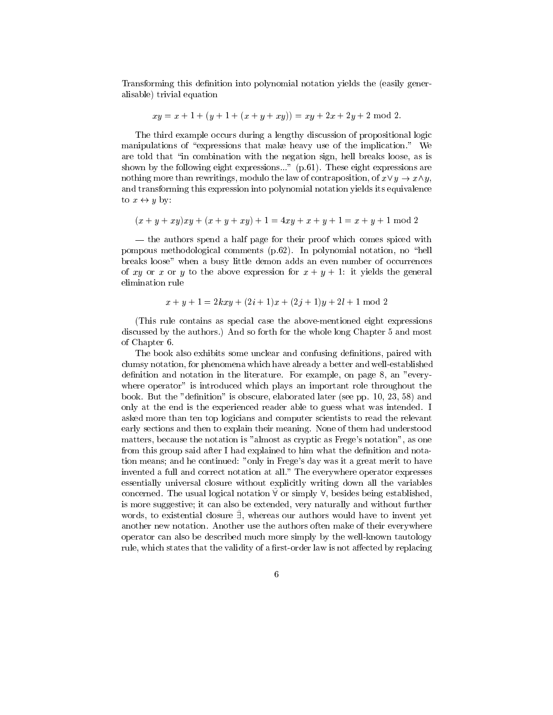Transforming this definition into polynomial notation yields the (easily generalisable) trivial equation

$$
xy = x + 1 + (y + 1 + (x + y + xy)) = xy + 2x + 2y + 2 \mod 2.
$$

The third example occurs during a lengthy discussion of propositional logic manipulations of "expressions that make heavy use of the implication." We are told that "in combination with the negation sign, hell breaks loose, as is shown by the following eight expressions..." (p.61). These eight expressions are nothing more than rewritings, modulo the law of contraposition, of  $x \vee y \to x \wedge y$ , and transforming this expression into polynomial notation yields its equivalence to  $x \leftrightarrow y$  by:

$$
(x + y + xy)xy + (x + y + xy) + 1 = 4xy + x + y + 1 = x + y + 1 \mod 2
$$

 $-$  the authors spend a half page for their proof which comes spiced with pompous methodological comments  $(p.62)$ . In polynomial notation, no "hell breaks loose" when a busy little demon adds an even number of occurrences of xy or x or y to the above expression for  $x + y + 1$ : it yields the general elimination rule

$$
x + y + 1 = 2kxy + (2i + 1)x + (2j + 1)y + 2l + 1 \mod 2
$$

(This rule contains as special case the above-mentioned eight expressions discussed by the authors.) And so forth for the whole long Chapter 5 and most of Chapter 6.

The book also exhibits some unclear and confusing definitions, paired with clumsy notation, for phenomena which have already a better and well-established definition and notation in the literature. For example, on page  $8$ , an "everywhere operator" is introduced which plays an important role throughout the book. But the "definition" is obscure, elaborated later (see pp. 10, 23, 58) and only at the end is the experienced reader able to guess what was intended. I asked more than ten top logicians and computer scientists to read the relevant early sections and then to explain their meaning. None of them had understood matters, because the notation is "almost as cryptic as Frege's notation", as one from this group said after I had explained to him what the definition and notation means; and he continued: "only in Frege's day was it a great merit to have invented a full and correct notation at all." The everywhere operator expresses essentially universal closure without explicitly writing down all the variables concerned. The usual logical notation 8~ or simply 8, besides being established, is more suggestive; it can also be extended, very naturally and without further words, to existential closure  $\exists$ , whereas our authors would have to invent yet another new notation. Another use the authors often make of their everywhere operator can also be described much more simply by the well-known tautology rule, which states that the validity of a first-order law is not affected by replacing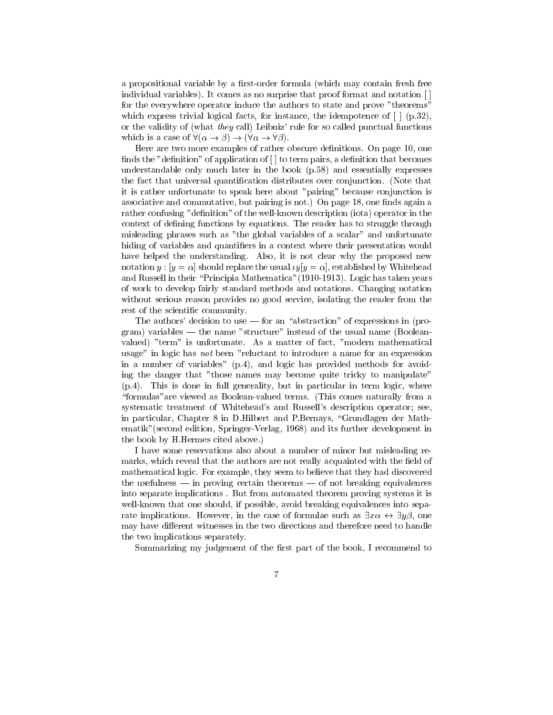a propositional variable by a first-order formula (which may contain fresh free individual variables). It comes as no surprise that proof format and notation [ ] for the everywhere operator induce the authors to state and prove "theorems" which express trivial logical facts, for instance, the idempotence of  $\lceil \cdot \rceil$  (p.32), or the validity of (what they call) Leibniz' rule for so called punctual functions which is a case of  $\forall (\alpha \rightarrow \beta) \rightarrow (\forall \alpha \rightarrow \forall \beta)$ .

Here are two more examples of rather obscure definitions. On page 10, one finds the "definition" of application of  $\lceil \cdot \rceil$  to term pairs, a definition that becomes understandable only much later in the book (p.58) and essentially expresses the fact that universal quantication distributes over conjunction. (Note that it is rather unfortunate to speak here about "pairing" because conjunction is associative and commutative, but pairing is not.) On page  $18$ , one finds again a rather confusing "definition" of the well-known description (iota) operator in the context of defining functions by equations. The reader has to struggle through misleading phrases such as "the global variables of a scalar" and unfortunate hiding of variables and quantifiers in a context where their presentation would have helped the understanding. Also, it is not clear why the proposed new notation  $y : [y = \alpha]$  should replace the usual  $\iota y[y = \alpha]$ , established by Whitehead and Russell in their "Principia Mathematica" (1910-1913). Logic has taken years of work to develop fairly standard methods and notations. Changing notation without serious reason provides no good service, isolating the reader from the rest of the scientific community.

The authors' decision to use  $-$  for an "abstraction" of expressions in (program) variables  $-$  the name "structure" instead of the usual name (Booleanvalued) "term" is unfortunate. As a matter of fact, "modern mathematical usage" in logic has not been "reluctant to introduce a name for an expression in a number of variables" (p.4), and logic has provided methods for avoiding the danger that "those names may become quite tricky to manipulate" (p.4). This is done in full generality, but in particular in term logic, where "formulas" are viewed as Boolean-valued terms. (This comes naturally from a systematic treatment of Whitehead's and Russell's description operator; see, in particular, Chapter 8 in D.Hilbert and P.Bernays, "Grundlagen der Mathematik"(second edition, Springer-Verlag, 1968) and its further development in the book by H.Hermes cited above.)

I have some reservations also about a number of minor but misleading remarks, which reveal that the authors are not really acquainted with the field of mathematical logic. For example, they seem to believe that they had discovered the usefulness  $-$  in proving certain theorems  $-$  of not breaking equivalences into separate implications . But from automated theorem proving systems it is well-known that one should, if possible, avoid breaking equivalences into separate implications. However, in the case of formulae such as  $\exists x \alpha \leftrightarrow \exists y \beta$ , one may have different witnesses in the two directions and therefore need to handle the two implications separately.

Summarizing my judgement of the first part of the book, I recommend to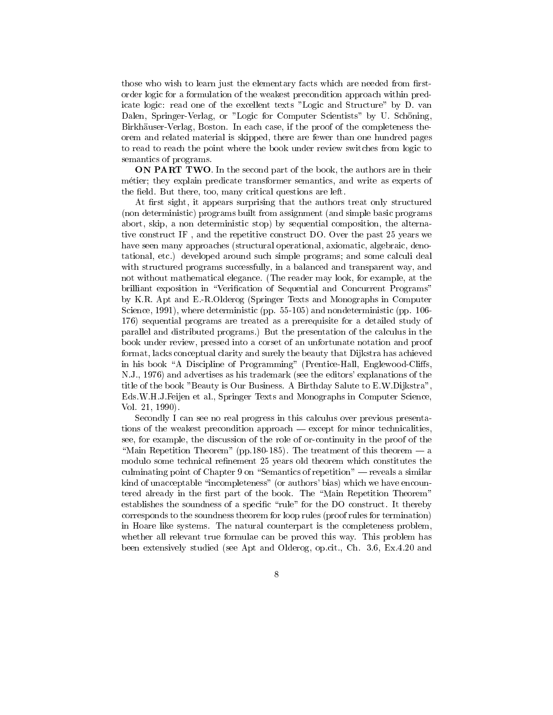those who wish to learn just the elementary facts which are needed from firstorder logic for a formulation of the weakest precondition approach within predicate logic: read one of the excellent texts "Logic and Structure" by D. van Dalen, Springer-Verlag, or "Logic for Computer Scientists" by U. Schöning, Birkhauser-Verlag, Boston. In each case, if the proof of the completeness theorem and related material is skipped, there are fewer than one hundred pages to read to reach the point where the book under review switches from logic to semantics of programs.

ON PART TWO. In the second part of the book, the authors are in their metier; they explain predicate transformer semantics, and write as experts of the field. But there, too, many critical questions are left.

At first sight, it appears surprising that the authors treat only structured (non deterministic) programs built from assignment (and simple basic programs abort, skip, a non deterministic stop) by sequential composition, the alternative construct IF , and the repetitive construct DO. Over the past 25 years we have seen many approaches (structural operational, axiomatic, algebraic, denotational, etc.) developed around such simple programs; and some calculi deal with structured programs successfully, in a balanced and transparent way, and not without mathematical elegance. (The reader may look, for example, at the brilliant exposition in "Verification of Sequential and Concurrent Programs" by K.R. Apt and E.-R.Olderog (Springer Texts and Monographs in Computer Science, 1991), where deterministic (pp. 55-105) and nondeterministic (pp. 106- 176) sequential programs are treated as a prerequisite for a detailed study of parallel and distributed programs.) But the presentation of the calculus in the book under review, pressed into a corset of an unfortunate notation and proof format, lacks conceptual clarity and surely the beauty that Dijkstra has achieved in his book "A Discipline of Programming" (Prentice-Hall, Englewood-Cliffs, N.J., 1976) and advertises as his trademark (see the editors' explanations of the title of the book "Beauty is Our Business. A Birthday Salute to E.W.Dijkstra", Eds.W.H.J.Feijen et al., Springer Texts and Monographs in Computer Science, Vol. 21, 1990).

Secondly I can see no real progress in this calculus over previous presentations of the weakest precondition approach  $-$  except for minor technicalities, see, for example, the discussion of the role of or-continuity in the proof of the "Main Repetition Theorem" (pp.180-185). The treatment of this theorem  $-$  a modulo some technical refinement 25 years old theorem which constitutes the culminating point of Chapter 9 on "Semantics of repetition"  $-$  reveals a similar kind of unacceptable "incompleteness" (or authors' bias) which we have encountered already in the first part of the book. The "Main Repetition Theorem" establishes the soundness of a specific "rule" for the DO construct. It thereby corresponds to the soundness theorem for loop rules (proof rules for termination) in Hoare like systems. The natural counterpart is the completeness problem, whether all relevant true formulae can be proved this way. This problem has been extensively studied (see Apt and Olderog, op.cit., Ch. 3.6, Ex.4.20 and

8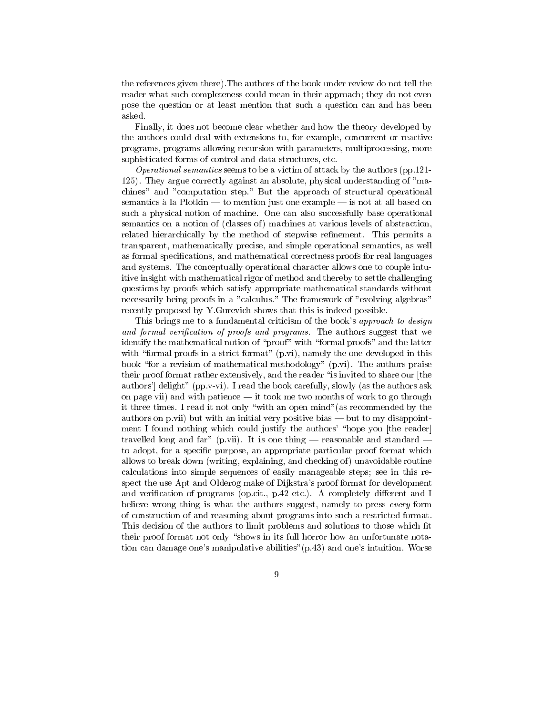the references given there).The authors of the book under review do not tell the reader what such completeness could mean in their approach; they do not even pose the question or at least mention that such a question can and has been asked.

Finally, it does not become clear whether and how the theory developed by the authors could deal with extensions to, for example, concurrent or reactive programs, programs allowing recursion with parameters, multiprocessing, more sophisticated forms of control and data structures, etc.

*Operational semantics* seems to be a victim of attack by the authors (pp.121-125). They argue correctly against an absolute, physical understanding of "machines" and "computation step." But the approach of structural operational semantics à la Plotkin — to mention just one example — is not at all based on such a physical notion of machine. One can also successfully base operational semantics on a notion of (classes of) machines at various levels of abstraction, related hierarchically by the method of stepwise refinement. This permits a transparent, mathematically precise, and simple operational semantics, as well as formal specications, and mathematical correctness proofs for real languages and systems. The conceptually operational character allows one to couple intuitive insight with mathematical rigor of method and thereby to settle challenging questions by proofs which satisfy appropriate mathematical standards without necessarily being proofs in a "calculus." The framework of "evolving algebras" recently proposed by Y.Gurevich shows that this is indeed possible.

This brings me to a fundamental criticism of the book's approach to design and formal verification of proofs and programs. The authors suggest that we identify the mathematical notion of "proof" with "formal proofs" and the latter with "formal proofs in a strict format"  $(p.vi)$ , namely the one developed in this book "for a revision of mathematical methodology" (p.vi). The authors praise their proof format rather extensively, and the reader "is invited to share our [the authors'] delight" (pp.v-vi). I read the book carefully, slowly (as the authors ask on page vii) and with patience  $-$  it took me two months of work to go through it three times. I read it not only \with an open mind"(as recommended by the authors on p.vii) but with an initial very positive bias  $-$  but to my disappointment I found nothing which could justify the authors' "hope you [the reader] travelled long and far" (p.vii). It is one thing  $-$  reasonable and standard  $$ to adopt, for a specic purpose, an appropriate particular proof format which allows to break down (writing, explaining, and checking of ) unavoidable routine calculations into simple sequences of easily manageable steps; see in this respect the use Apt and Olderog make of Dijkstra's proof format for development and verification of programs (op.cit., p.42 etc.). A completely different and I believe wrong thing is what the authors suggest, namely to press *every* form of construction of and reasoning about programs into such a restricted format. This decision of the authors to limit problems and solutions to those which fit their proof format not only "shows in its full horror how an unfortunate notation can damage one's manipulative abilities"(p.43) and one's intuition. Worse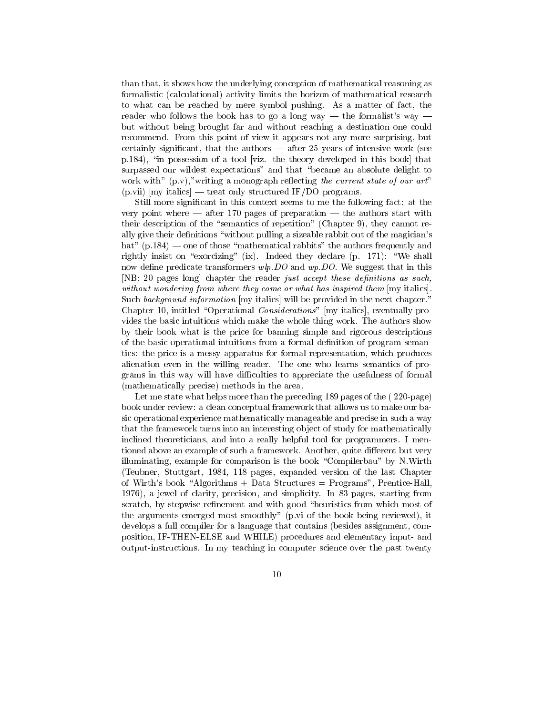than that, it shows how the underlying conception of mathematical reasoning as formalistic (calculational) activity limits the horizon of mathematical research to what can be reached by mere symbol pushing. As a matter of fact, the reader who follows the book has to go a long way — the formalist's way but without being brought far and without reaching a destination one could recommend. From this point of view it appears not any more surprising, but certainly significant, that the authors  $-$  after 25 years of intensive work (see p.184), "in possession of a tool [viz. the theory developed in this book] that surpassed our wildest expectations" and that "became an absolute delight to work with"  $(p.v)$ ," writing a monograph reflecting the current state of our art" (p.vii)  $[my]$  italics  $]-$  treat only structured IF/DO programs.

Still more signicant in this context seems to me the following fact: at the very point where  $-$  after 170 pages of preparation  $-$  the authors start with their description of the "semantics of repetition" (Chapter 9), they cannot really give their definitions "without pulling a sizeable rabbit out of the magician's hat"  $(p.184)$  — one of those "mathematical rabbits" the authors frequently and rightly insist on "exorcizing" (ix). Indeed they declare (p. 171): "We shall now define predicate transformers  $wlp.DO$  and  $wp.DO$ . We suggest that in this [NB: 20 pages long] chapter the reader just accept these definitions as such, without wondering from where they come or what has inspired them [my italics]. Such background information [my italics] will be provided in the next chapter." Chapter 10, intitled "Operational *Considerations*" [my italics], eventually provides the basic intuitions which make the whole thing work. The authors show by their book what is the price for banning simple and rigorous descriptions of the basic operational intuitions from a formal definition of program semantics: the price is a messy apparatus for formal representation, which produces alienation even in the willing reader. The one who learns semantics of programs in this way will have difficulties to appreciate the usefulness of formal (mathematically precise) methods in the area.

Let me state what helps more than the preceding 189 pages of the ( 220-page) book under review: a clean conceptual framework that allows us to make our basic operational experience mathematically manageable and precise in suchaway that the framework turns into an interesting ob ject of study for mathematically inclined theoreticians, and into a really helpful tool for programmers. I mentioned above an example of such a framework. Another, quite different but very illuminating, example for comparison is the book "Compilerbau" by N.Wirth (Teubner, Stuttgart, 1984, 118 pages, expanded version of the last Chapter of Wirth's book "Algorithms + Data Structures = Programs", Prentice-Hall, 1976), a jewel of clarity, precision, and simplicity. In 83 pages, starting from scratch, by stepwise refinement and with good "heuristics from which most of the arguments emerged most smoothly" (p.vi of the book being reviewed), it develops a full compiler for a language that contains (besides assignment, composition, IF-THEN-ELSE and WHILE) procedures and elementary input- and output-instructions. In my teaching in computer science over the past twenty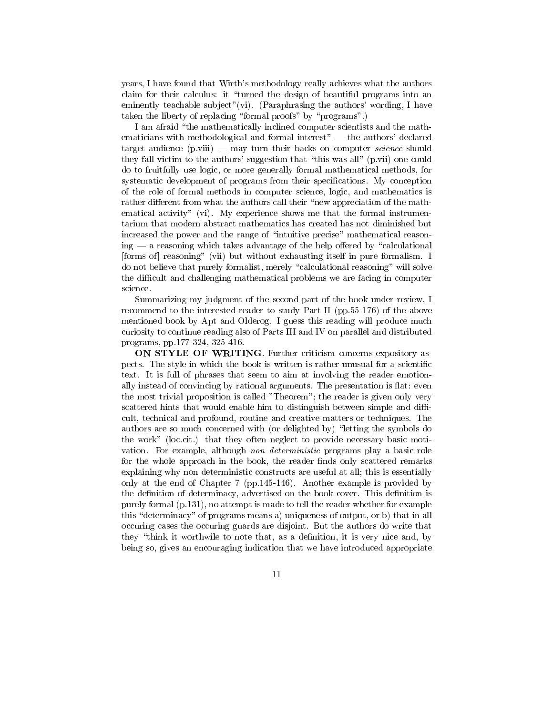years, I have found that Wirth's methodology really achieves what the authors claim for their calculus: it "turned the design of beautiful programs into an eminently teachable subject" (vi). (Paraphrasing the authors' wording, I have taken the liberty of replacing "formal proofs" by "programs".)

I am afraid \the mathematically inclined computer scientists and the mathematicians with methodological and formal interest"  $-$  the authors' declared target audience  $(p.viii)$  — may turn their backs on computer *science* should they fall victim to the authors' suggestion that "this was all" (p.vii) one could do to fruitfully use logic, or more generally formal mathematical methods, for systematic development of programs from their specifications. My conception of the role of formal methods in computer science, logic, and mathematics is rather different from what the authors call their "new appreciation of the mathematical activity" (vi). My experience shows me that the formal instrumentarium that modern abstract mathematics has created has not diminished but increased the power and the range of \intuitive precise" mathematical reason $ing - a$  reasoning which takes advantage of the help offered by "calculational" [forms of ] reasoning" (vii) but without exhausting itself in pure formalism. I do not believe that purely formalist, merely "calculational reasoning" will solve the difficult and challenging mathematical problems we are facing in computer science.

Summarizing my judgment of the second part of the book under review, I recommend to the interested reader to study Part II (pp.55-176) of the above mentioned book by Apt and Olderog. I guess this reading will produce much curiosity to continue reading also of Parts III and IV on parallel and distributed programs, pp.177-324, 325-416.

ON STYLE OF WRITING. Further criticism concerns expository aspects. The style in which the book is written is rather unusual for a scientific text. It is full of phrases that seem to aim at involving the reader emotionally instead of convincing by rational arguments. The presentation is flat: even the most trivial proposition is called "Theorem"; the reader is given only very scattered hints that would enable him to distinguish between simple and difficult, technical and profound, routine and creative matters or techniques. The authors are so much concerned with (or delighted by) \letting the symbols do the work" (loc.cit.) that they often neglect to provide necessary basic moti vation. For example, although non deterministic programs play a basic role for the whole approach in the book, the reader finds only scattered remarks explaining why non deterministic constructs are useful at all; this is essentially only at the end of Chapter 7 (pp.145-146). Another example is provided by the definition of determinacy, advertised on the book cover. This definition is purely formal (p.131), no attempt is made to tell the reader whether for example this "determinacy" of programs means a) uniqueness of output, or b) that in all occuring cases the occuring guards are disjoint. But the authors do write that they "think it worthwile to note that, as a definition, it is very nice and, by being so, gives an encouraging indication that we have introduced appropriate